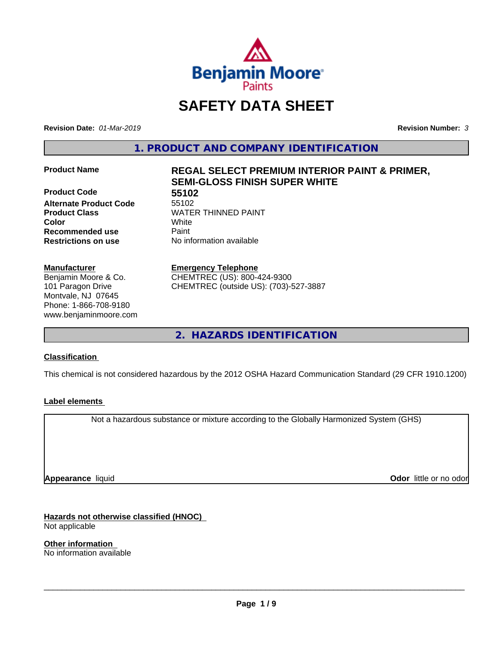

# **SAFETY DATA SHEET**

**Revision Date:** *01-Mar-2019* **Revision Number:** *3*

**1. PRODUCT AND COMPANY IDENTIFICATION**

**Product Code 55102**<br> **Alternate Product Code** 55102 **Alternate Product Code Product Class WATER THINNED PAINT Recommended use** Paint **Restrictions on use** No information available

#### **Manufacturer**

Benjamin Moore & Co. 101 Paragon Drive Montvale, NJ 07645 Phone: 1-866-708-9180 www.benjaminmoore.com

# **Product Name REGAL SELECT PREMIUM INTERIOR PAINT & PRIMER, SEMI-GLOSS FINISH SUPER WHITE**

**Color** White

**Emergency Telephone**

CHEMTREC (US): 800-424-9300 CHEMTREC (outside US): (703)-527-3887

**2. HAZARDS IDENTIFICATION**

### **Classification**

This chemical is not considered hazardous by the 2012 OSHA Hazard Communication Standard (29 CFR 1910.1200)

### **Label elements**

Not a hazardous substance or mixture according to the Globally Harmonized System (GHS)

**Appearance** liquid

**Odor** little or no odor

**Hazards not otherwise classified (HNOC)** Not applicable

**Other information** No information available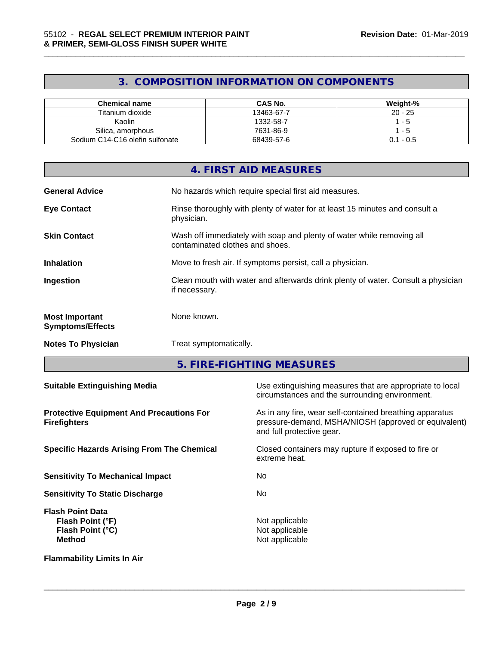# **3. COMPOSITION INFORMATION ON COMPONENTS**

\_\_\_\_\_\_\_\_\_\_\_\_\_\_\_\_\_\_\_\_\_\_\_\_\_\_\_\_\_\_\_\_\_\_\_\_\_\_\_\_\_\_\_\_\_\_\_\_\_\_\_\_\_\_\_\_\_\_\_\_\_\_\_\_\_\_\_\_\_\_\_\_\_\_\_\_\_\_\_\_\_\_\_\_\_\_\_\_\_\_\_\_\_

| Chemical name                   | <b>CAS No.</b> | Weight-%       |
|---------------------------------|----------------|----------------|
| Titanium dioxide                | 13463-67-7     | $20 - 25$      |
| Kaolin                          | 1332-58-7      | - 5            |
| Silica, amorphous               | 7631-86-9      | - 5            |
| Sodium C14-C16 olefin sulfonate | 68439-57-6     | . - 0.5<br>0.1 |

|                                                  | 4. FIRST AID MEASURES                                                                                    |
|--------------------------------------------------|----------------------------------------------------------------------------------------------------------|
| <b>General Advice</b>                            | No hazards which require special first aid measures.                                                     |
| <b>Eye Contact</b>                               | Rinse thoroughly with plenty of water for at least 15 minutes and consult a<br>physician.                |
| <b>Skin Contact</b>                              | Wash off immediately with soap and plenty of water while removing all<br>contaminated clothes and shoes. |
| <b>Inhalation</b>                                | Move to fresh air. If symptoms persist, call a physician.                                                |
| Ingestion                                        | Clean mouth with water and afterwards drink plenty of water. Consult a physician<br>if necessary.        |
| <b>Most Important</b><br><b>Symptoms/Effects</b> | None known.                                                                                              |
| <b>Notes To Physician</b>                        | Treat symptomatically.                                                                                   |
|                                                  |                                                                                                          |

**5. FIRE-FIGHTING MEASURES**

| <b>Suitable Extinguishing Media</b>                                              | Use extinguishing measures that are appropriate to local<br>circumstances and the surrounding environment.                                   |
|----------------------------------------------------------------------------------|----------------------------------------------------------------------------------------------------------------------------------------------|
| <b>Protective Equipment And Precautions For</b><br><b>Firefighters</b>           | As in any fire, wear self-contained breathing apparatus<br>pressure-demand, MSHA/NIOSH (approved or equivalent)<br>and full protective gear. |
| <b>Specific Hazards Arising From The Chemical</b>                                | Closed containers may rupture if exposed to fire or<br>extreme heat.                                                                         |
| <b>Sensitivity To Mechanical Impact</b>                                          | No.                                                                                                                                          |
| <b>Sensitivity To Static Discharge</b>                                           | No.                                                                                                                                          |
| <b>Flash Point Data</b><br>Flash Point (°F)<br>Flash Point (°C)<br><b>Method</b> | Not applicable<br>Not applicable<br>Not applicable                                                                                           |
| <b>Flammability Limits In Air</b>                                                |                                                                                                                                              |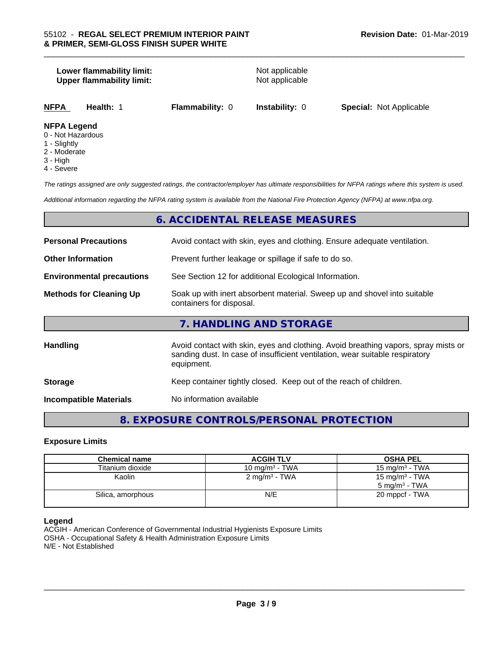# **Lower flammability limit:**<br> **Upper flammability limit:**<br>
Upper flammability limit:<br>
Not applicable **Upper flammability limit: NFPA Health:** 1 **Flammability:** 0 **Instability:** 0 **Special:** Not Applicable **NFPA Legend**

- 0 Not Hazardous
- 1 Slightly
- 2 Moderate
- 3 High
- 4 Severe

*The ratings assigned are only suggested ratings, the contractor/employer has ultimate responsibilities for NFPA ratings where this system is used.*

\_\_\_\_\_\_\_\_\_\_\_\_\_\_\_\_\_\_\_\_\_\_\_\_\_\_\_\_\_\_\_\_\_\_\_\_\_\_\_\_\_\_\_\_\_\_\_\_\_\_\_\_\_\_\_\_\_\_\_\_\_\_\_\_\_\_\_\_\_\_\_\_\_\_\_\_\_\_\_\_\_\_\_\_\_\_\_\_\_\_\_\_\_

*Additional information regarding the NFPA rating system is available from the National Fire Protection Agency (NFPA) at www.nfpa.org.*

# **6. ACCIDENTAL RELEASE MEASURES**

| <b>Personal Precautions</b>      | Avoid contact with skin, eyes and clothing. Ensure adequate ventilation.                                                                                                         |
|----------------------------------|----------------------------------------------------------------------------------------------------------------------------------------------------------------------------------|
| <b>Other Information</b>         | Prevent further leakage or spillage if safe to do so.                                                                                                                            |
| <b>Environmental precautions</b> | See Section 12 for additional Ecological Information.                                                                                                                            |
| <b>Methods for Cleaning Up</b>   | Soak up with inert absorbent material. Sweep up and shovel into suitable<br>containers for disposal.                                                                             |
|                                  | 7. HANDLING AND STORAGE                                                                                                                                                          |
| Handling                         | Avoid contact with skin, eyes and clothing. Avoid breathing vapors, spray mists or<br>sanding dust. In case of insufficient ventilation, wear suitable respiratory<br>equipment. |
| <b>Storage</b>                   | Keep container tightly closed. Keep out of the reach of children.                                                                                                                |
| <b>Incompatible Materials</b>    | No information available                                                                                                                                                         |

# **8. EXPOSURE CONTROLS/PERSONAL PROTECTION**

#### **Exposure Limits**

| <b>Chemical name</b> | <b>ACGIH TLV</b>         | <b>OSHA PEL</b>            |
|----------------------|--------------------------|----------------------------|
| Titanium dioxide     | 10 mg/m $3$ - TWA        | 15 mg/m $3$ - TWA          |
| Kaolin               | $2 \text{ mg/m}^3$ - TWA | 15 mg/m <sup>3</sup> - TWA |
|                      |                          | $5 \text{ ma/m}^3$ - TWA   |
| Silica, amorphous    | N/E                      | 20 mppcf - TWA             |
|                      |                          |                            |

#### **Legend**

ACGIH - American Conference of Governmental Industrial Hygienists Exposure Limits OSHA - Occupational Safety & Health Administration Exposure Limits N/E - Not Established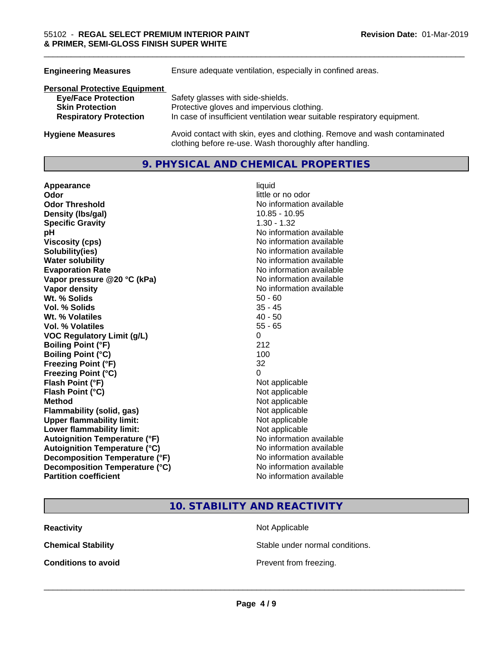| <b>Engineering Measures</b>          | Ensure adequate ventilation, especially in confined areas.                                                                          |
|--------------------------------------|-------------------------------------------------------------------------------------------------------------------------------------|
| <b>Personal Protective Equipment</b> |                                                                                                                                     |
| <b>Eye/Face Protection</b>           | Safety glasses with side-shields.                                                                                                   |
| <b>Skin Protection</b>               | Protective gloves and impervious clothing.                                                                                          |
| <b>Respiratory Protection</b>        | In case of insufficient ventilation wear suitable respiratory equipment.                                                            |
| <b>Hygiene Measures</b>              | Avoid contact with skin, eyes and clothing. Remove and wash contaminated<br>clothing before re-use. Wash thoroughly after handling. |

# **9. PHYSICAL AND CHEMICAL PROPERTIES**

| Appearance                           | liquid                   |
|--------------------------------------|--------------------------|
| Odor                                 | little or no odor        |
| <b>Odor Threshold</b>                | No information available |
| Density (Ibs/gal)                    | $10.85 - 10.95$          |
| <b>Specific Gravity</b>              | $1.30 - 1.32$            |
| рH                                   | No information available |
| <b>Viscosity (cps)</b>               | No information available |
| Solubility(ies)                      | No information available |
| <b>Water solubility</b>              | No information available |
| <b>Evaporation Rate</b>              | No information available |
| Vapor pressure @20 °C (kPa)          | No information available |
| Vapor density                        | No information available |
| Wt. % Solids                         | $50 - 60$                |
| <b>Vol. % Solids</b>                 | $35 - 45$                |
| Wt. % Volatiles                      | $40 - 50$                |
| Vol. % Volatiles                     | $55 - 65$                |
| <b>VOC Regulatory Limit (g/L)</b>    | 0                        |
| <b>Boiling Point (°F)</b>            | 212                      |
| <b>Boiling Point (°C)</b>            | 100                      |
| <b>Freezing Point (°F)</b>           | 32                       |
| <b>Freezing Point (°C)</b>           | 0                        |
| Flash Point (°F)                     | Not applicable           |
| Flash Point (°C)                     | Not applicable           |
| <b>Method</b>                        | Not applicable           |
| <b>Flammability (solid, gas)</b>     | Not applicable           |
| <b>Upper flammability limit:</b>     | Not applicable           |
| Lower flammability limit:            | Not applicable           |
| <b>Autoignition Temperature (°F)</b> | No information available |
| <b>Autoignition Temperature (°C)</b> | No information available |
| Decomposition Temperature (°F)       | No information available |
| Decomposition Temperature (°C)       | No information available |
| <b>Partition coefficient</b>         | No information available |

\_\_\_\_\_\_\_\_\_\_\_\_\_\_\_\_\_\_\_\_\_\_\_\_\_\_\_\_\_\_\_\_\_\_\_\_\_\_\_\_\_\_\_\_\_\_\_\_\_\_\_\_\_\_\_\_\_\_\_\_\_\_\_\_\_\_\_\_\_\_\_\_\_\_\_\_\_\_\_\_\_\_\_\_\_\_\_\_\_\_\_\_\_

**10. STABILITY AND REACTIVITY**

**Reactivity** Not Applicable

**Chemical Stability Stable under normal conditions.** 

**Conditions to avoid Conditions to avoid Prevent from freezing.**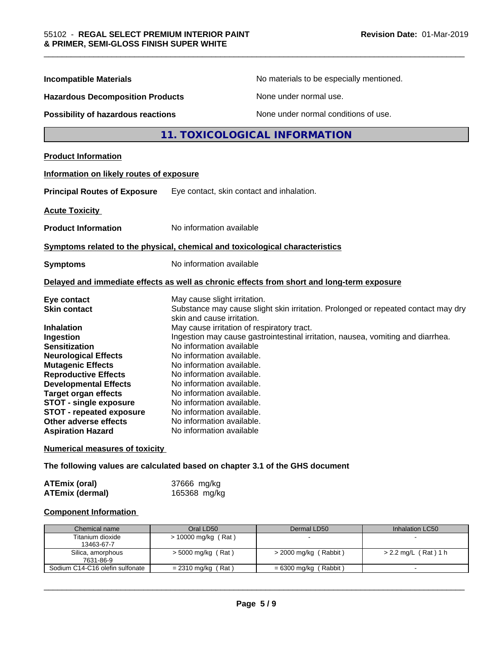| <b>Incompatible Materials</b>            | No materials to be especially mentioned.                                                                        |  |  |
|------------------------------------------|-----------------------------------------------------------------------------------------------------------------|--|--|
| <b>Hazardous Decomposition Products</b>  | None under normal use.                                                                                          |  |  |
| Possibility of hazardous reactions       | None under normal conditions of use.                                                                            |  |  |
|                                          | 11. TOXICOLOGICAL INFORMATION                                                                                   |  |  |
| <b>Product Information</b>               |                                                                                                                 |  |  |
| Information on likely routes of exposure |                                                                                                                 |  |  |
| <b>Principal Routes of Exposure</b>      | Eye contact, skin contact and inhalation.                                                                       |  |  |
| <b>Acute Toxicity</b>                    |                                                                                                                 |  |  |
| <b>Product Information</b>               | No information available                                                                                        |  |  |
|                                          | Symptoms related to the physical, chemical and toxicological characteristics                                    |  |  |
| <b>Symptoms</b>                          | No information available                                                                                        |  |  |
|                                          | Delayed and immediate effects as well as chronic effects from short and long-term exposure                      |  |  |
| Eye contact                              | May cause slight irritation.                                                                                    |  |  |
| <b>Skin contact</b>                      | Substance may cause slight skin irritation. Prolonged or repeated contact may dry<br>skin and cause irritation. |  |  |
| <b>Inhalation</b>                        | May cause irritation of respiratory tract.                                                                      |  |  |
| Ingestion                                | Ingestion may cause gastrointestinal irritation, nausea, vomiting and diarrhea.                                 |  |  |
| <b>Sensitization</b>                     | No information available                                                                                        |  |  |
| <b>Neurological Effects</b>              | No information available.                                                                                       |  |  |
| <b>Mutagenic Effects</b>                 | No information available.                                                                                       |  |  |
| <b>Reproductive Effects</b>              | No information available.                                                                                       |  |  |
| <b>Developmental Effects</b>             | No information available.                                                                                       |  |  |
| <b>Target organ effects</b>              | No information available.                                                                                       |  |  |
| <b>STOT - single exposure</b>            | No information available.                                                                                       |  |  |
| <b>STOT - repeated exposure</b>          | No information available.                                                                                       |  |  |
| Other adverse effects                    | No information available.                                                                                       |  |  |
| <b>Aspiration Hazard</b>                 | No information available                                                                                        |  |  |
| <b>Numerical measures of toxicity</b>    |                                                                                                                 |  |  |

**The following values are calculated based on chapter 3.1 of the GHS document**

| ATEmix (oral)   | 37666 mg/kg  |
|-----------------|--------------|
| ATEmix (dermal) | 165368 mg/kg |

# **Component Information**

| Chemical name                   | Oral LD50            | Dermal LD50             | Inhalation LC50        |
|---------------------------------|----------------------|-------------------------|------------------------|
| Titanium dioxide                | > 10000 mg/kg (Rat)  |                         |                        |
| 13463-67-7                      |                      |                         |                        |
| Silica, amorphous               | $>$ 5000 mg/kg (Rat) | $>$ 2000 mg/kg (Rabbit) | $> 2.2$ mg/L (Rat) 1 h |
| 7631-86-9                       |                      |                         |                        |
| Sodium C14-C16 olefin sulfonate | $= 2310$ mg/kg (Rat) | = 6300 mg/kg ( Rabbit ) |                        |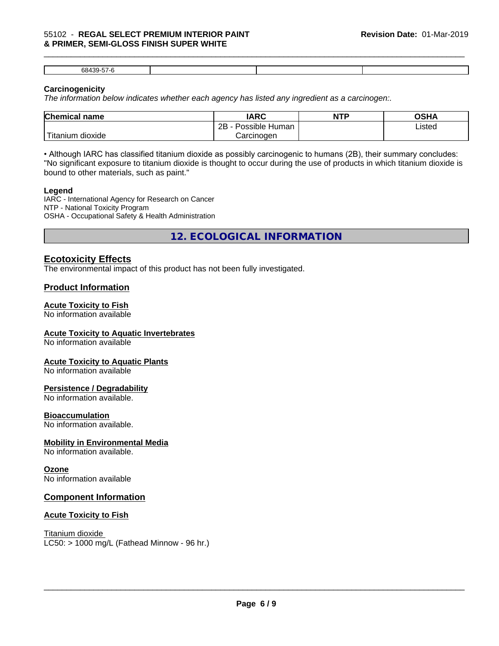#### \_\_\_\_\_\_\_\_\_\_\_\_\_\_\_\_\_\_\_\_\_\_\_\_\_\_\_\_\_\_\_\_\_\_\_\_\_\_\_\_\_\_\_\_\_\_\_\_\_\_\_\_\_\_\_\_\_\_\_\_\_\_\_\_\_\_\_\_\_\_\_\_\_\_\_\_\_\_\_\_\_\_\_\_\_\_\_\_\_\_\_\_\_ 55102 - **REGAL SELECT PREMIUM INTERIOR PAINT & PRIMER, SEMI-GLOSS FINISH SUPER WHITE**

68439-57-6

### **Carcinogenicity**

*The information below indicateswhether each agency has listed any ingredient as a carcinogen:.*

| <b>Chemical name</b>              | <b>IARC</b>          | <b>NTP</b> | OSHA   |  |
|-----------------------------------|----------------------|------------|--------|--|
|                                   | Possible Human<br>2B |            | Listed |  |
| $-1$<br>dioxide<br><b>itanium</b> | Carcinogen           |            |        |  |

• Although IARC has classified titanium dioxide as possibly carcinogenic to humans (2B), their summary concludes: "No significant exposure to titanium dioxide is thought to occur during the use of products in which titanium dioxide is bound to other materials, such as paint."

#### **Legend**

IARC - International Agency for Research on Cancer NTP - National Toxicity Program OSHA - Occupational Safety & Health Administration

**12. ECOLOGICAL INFORMATION**

# **Ecotoxicity Effects**

The environmental impact of this product has not been fully investigated.

## **Product Information**

#### **Acute Toxicity to Fish**

No information available

#### **Acute Toxicity to Aquatic Invertebrates**

No information available

#### **Acute Toxicity to Aquatic Plants**

No information available

#### **Persistence / Degradability**

No information available.

#### **Bioaccumulation**

No information available.

#### **Mobility in Environmental Media**

No information available.

#### **Ozone**

No information available

### **Component Information**

#### **Acute Toxicity to Fish**

Titanium dioxide  $LC50:$  > 1000 mg/L (Fathead Minnow - 96 hr.)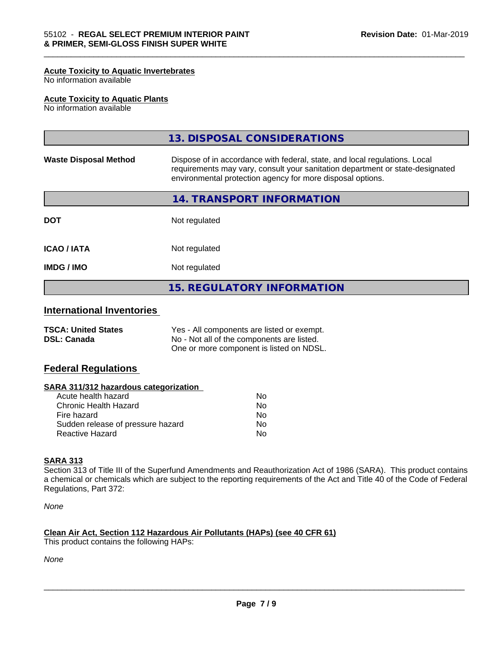#### **Acute Toxicity to Aquatic Invertebrates**

No information available

#### **Acute Toxicity to Aquatic Plants**

No information available

|                              | <b>15. REGULATORY INFORMATION</b>                                                                                                                                                                                         |
|------------------------------|---------------------------------------------------------------------------------------------------------------------------------------------------------------------------------------------------------------------------|
| <b>IMDG / IMO</b>            | Not regulated                                                                                                                                                                                                             |
| <b>ICAO/IATA</b>             | Not regulated                                                                                                                                                                                                             |
| <b>DOT</b>                   | Not regulated                                                                                                                                                                                                             |
|                              | 14. TRANSPORT INFORMATION                                                                                                                                                                                                 |
| <b>Waste Disposal Method</b> | Dispose of in accordance with federal, state, and local regulations. Local<br>requirements may vary, consult your sanitation department or state-designated<br>environmental protection agency for more disposal options. |
|                              | 13. DISPOSAL CONSIDERATIONS                                                                                                                                                                                               |

\_\_\_\_\_\_\_\_\_\_\_\_\_\_\_\_\_\_\_\_\_\_\_\_\_\_\_\_\_\_\_\_\_\_\_\_\_\_\_\_\_\_\_\_\_\_\_\_\_\_\_\_\_\_\_\_\_\_\_\_\_\_\_\_\_\_\_\_\_\_\_\_\_\_\_\_\_\_\_\_\_\_\_\_\_\_\_\_\_\_\_\_\_

# **International Inventories**

| <b>TSCA: United States</b> | Yes - All components are listed or exempt. |
|----------------------------|--------------------------------------------|
| <b>DSL: Canada</b>         | No - Not all of the components are listed. |
|                            | One or more component is listed on NDSL.   |

### **Federal Regulations**

#### **SARA 311/312 hazardous categorization**

| Acute health hazard               | Nο |
|-----------------------------------|----|
| Chronic Health Hazard             | Nο |
| Fire hazard                       | N٥ |
| Sudden release of pressure hazard | N٥ |
| Reactive Hazard                   | N٥ |

## **SARA 313**

Section 313 of Title III of the Superfund Amendments and Reauthorization Act of 1986 (SARA). This product contains a chemical or chemicals which are subject to the reporting requirements of the Act and Title 40 of the Code of Federal Regulations, Part 372:

*None*

### **Clean Air Act,Section 112 Hazardous Air Pollutants (HAPs) (see 40 CFR 61)**

This product contains the following HAPs:

*None*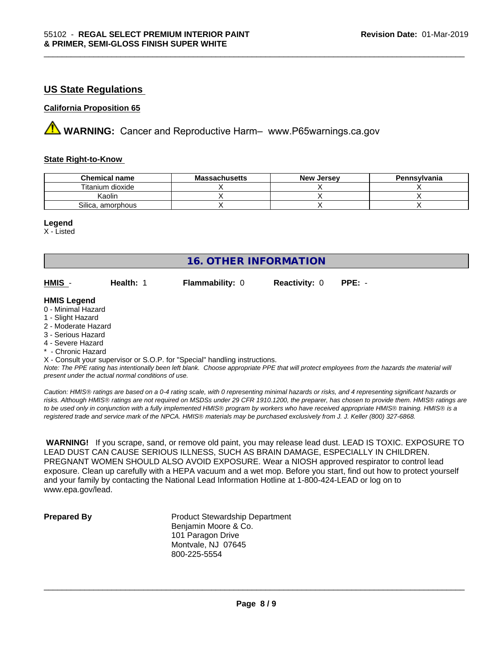# **US State Regulations**

#### **California Proposition 65**

**AVIMARNING:** Cancer and Reproductive Harm– www.P65warnings.ca.gov

#### **State Right-to-Know**

| <b>Chemical name</b> | <b>Massachusetts</b> | <b>New Jersey</b> | Pennsylvania |
|----------------------|----------------------|-------------------|--------------|
| Titanium dioxide     |                      |                   |              |
| Kaolin               |                      |                   |              |
| Silica, amorphous    |                      |                   |              |

\_\_\_\_\_\_\_\_\_\_\_\_\_\_\_\_\_\_\_\_\_\_\_\_\_\_\_\_\_\_\_\_\_\_\_\_\_\_\_\_\_\_\_\_\_\_\_\_\_\_\_\_\_\_\_\_\_\_\_\_\_\_\_\_\_\_\_\_\_\_\_\_\_\_\_\_\_\_\_\_\_\_\_\_\_\_\_\_\_\_\_\_\_

#### **Legend**

X - Listed

|                                                                            |           | <b>16. OTHER INFORMATION</b> |                      |                                                                                                                                               |  |  |
|----------------------------------------------------------------------------|-----------|------------------------------|----------------------|-----------------------------------------------------------------------------------------------------------------------------------------------|--|--|
|                                                                            |           |                              |                      |                                                                                                                                               |  |  |
| HMIS -                                                                     | Health: 1 | Flammability: 0              | <b>Reactivity: 0</b> | $PPE: -$                                                                                                                                      |  |  |
| <b>HMIS Legend</b>                                                         |           |                              |                      |                                                                                                                                               |  |  |
| 0 - Minimal Hazard                                                         |           |                              |                      |                                                                                                                                               |  |  |
| 1 - Slight Hazard                                                          |           |                              |                      |                                                                                                                                               |  |  |
| 2 - Moderate Hazard                                                        |           |                              |                      |                                                                                                                                               |  |  |
| 3 - Serious Hazard                                                         |           |                              |                      |                                                                                                                                               |  |  |
| 4 - Severe Hazard                                                          |           |                              |                      |                                                                                                                                               |  |  |
| * - Chronic Hazard                                                         |           |                              |                      |                                                                                                                                               |  |  |
| X - Consult your supervisor or S.O.P. for "Special" handling instructions. |           |                              |                      |                                                                                                                                               |  |  |
|                                                                            |           |                              |                      | Note: The PPE rating has intentionally been left blank. Choose appropriate PPE that will protect employees from the hazards the material will |  |  |

*present under the actual normal conditions of use.*

*Caution: HMISÒ ratings are based on a 0-4 rating scale, with 0 representing minimal hazards or risks, and 4 representing significant hazards or risks. Although HMISÒ ratings are not required on MSDSs under 29 CFR 1910.1200, the preparer, has chosen to provide them. HMISÒ ratings are to be used only in conjunction with a fully implemented HMISÒ program by workers who have received appropriate HMISÒ training. HMISÒ is a registered trade and service mark of the NPCA. HMISÒ materials may be purchased exclusively from J. J. Keller (800) 327-6868.*

 **WARNING!** If you scrape, sand, or remove old paint, you may release lead dust. LEAD IS TOXIC. EXPOSURE TO LEAD DUST CAN CAUSE SERIOUS ILLNESS, SUCH AS BRAIN DAMAGE, ESPECIALLY IN CHILDREN. PREGNANT WOMEN SHOULD ALSO AVOID EXPOSURE.Wear a NIOSH approved respirator to control lead exposure. Clean up carefully with a HEPA vacuum and a wet mop. Before you start, find out how to protect yourself and your family by contacting the National Lead Information Hotline at 1-800-424-LEAD or log on to www.epa.gov/lead.

**Prepared By** Product Stewardship Department Benjamin Moore & Co. 101 Paragon Drive Montvale, NJ 07645 800-225-5554